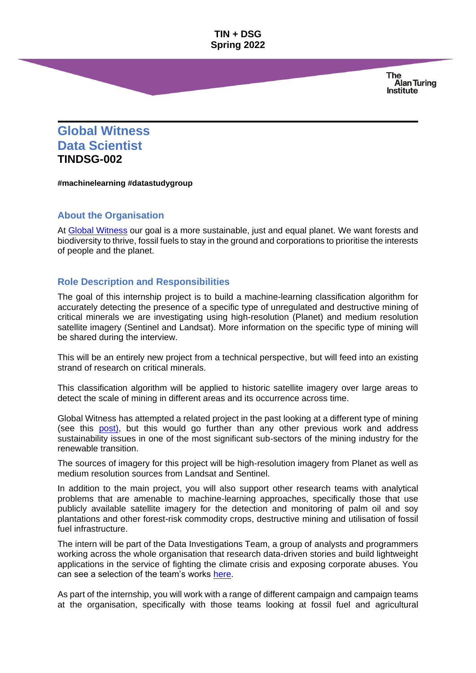**TIN + DSG Spring 2022**

> **The Alan Turing Institute**

# **Global Witness Data Scientist TINDSG-002**

**#machinelearning #datastudygroup**

# **About the Organisation**

At [Global Witness](https://www.globalwitness.org/en/about-us/) our goal is a more sustainable, just and equal planet. We want forests and biodiversity to thrive, fossil fuels to stay in the ground and corporations to prioritise the interests of people and the planet.

#### **Role Description and Responsibilities**

The goal of this internship project is to build a machine-learning classification algorithm for accurately detecting the presence of a specific type of unregulated and destructive mining of critical minerals we are investigating using high-resolution (Planet) and medium resolution satellite imagery (Sentinel and Landsat). More information on the specific type of mining will be shared during the interview.

This will be an entirely new project from a technical perspective, but will feed into an existing strand of research on critical minerals.

This classification algorithm will be applied to historic satellite imagery over large areas to detect the scale of mining in different areas and its occurrence across time.

Global Witness has attempted a related project in the past looking at a different type of mining (see this [post\)](https://www.globalwitness.org/en/blog/how-can-we-use-artificial-intelligence-help-us-fight-corruption-mining-sector/), but this would go further than any other previous work and address sustainability issues in one of the most significant sub-sectors of the mining industry for the renewable transition.

The sources of imagery for this project will be high-resolution imagery from Planet as well as medium resolution sources from Landsat and Sentinel.

In addition to the main project, you will also support other research teams with analytical problems that are amenable to machine-learning approaches, specifically those that use publicly available satellite imagery for the detection and monitoring of palm oil and soy plantations and other forest-risk commodity crops, destructive mining and utilisation of fossil fuel infrastructure.

The intern will be part of the Data Investigations Team, a group of analysts and programmers working across the whole organisation that research data-driven stories and build lightweight applications in the service of fighting the climate crisis and exposing corporate abuses. You can see a selection of the team's works [here.](https://www.globalwitness.org/tagged/digital-investigations/)

As part of the internship, you will work with a range of different campaign and campaign teams at the organisation, specifically with those teams looking at fossil fuel and agricultural